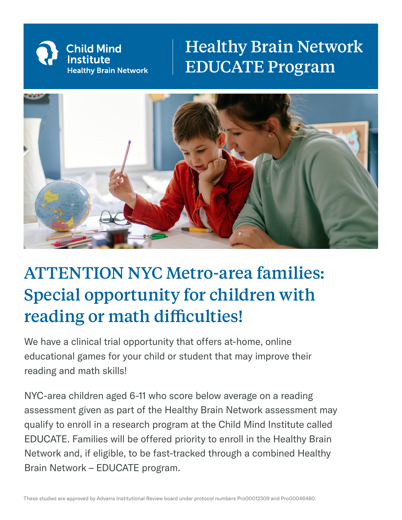

## Healthy Brain Network EDUCATE Program



## ATTENTION NYC Metro-area families: Special opportunity for children with reading or math difficulties!

We have a clinical trial opportunity that offers at-home, online educational games for your child or student that may improve their reading and math skills!

NYC-area children aged 6-11 who score below average on a reading assessment given as part of the Healthy Brain Network assessment may qualify to enroll in a research program at the Child Mind Institute called EDUCATE. Families will be offered priority to enroll in the Healthy Brain Network and, if eligible, to be fast-tracked through a combined Healthy Brain Network – EDUCATE program.